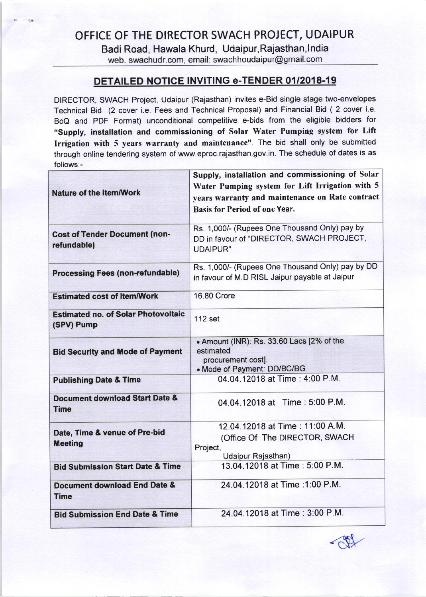Badi Road, Hawala Khurd, Udaipur, Rajasthan, India<br>web. swachudr.com, email: swachhoudaipur@gmail.com

## DETAILED NOTICE INVITING e-TENDER 01/2018-19

DIRECTOR, SWACH Project, Udaipur (Rajasthan) invites e-Bid single stage two-envelopes Technical Bid (2 cover i.e. Fees and Technical Proposal) and Financial Bid ( 2 cover i.e. BoQ and PDF Format) unconditional competitive e-bids from the eligible bidders for "Supply, installation and commissioning of Solar Water Pumping system for Lift Irrigation with 5 years warranty and maintenance". The bid shall only be submitted through online tendering system of www.eproc.rajasthan.gov.in. The schedule of dates is as follows:-

| <b>Nature of the Item/Work</b>                           | Supply, installation and commissioning of Solar<br>Water Pumping system for Lift Irrigation with 5<br>years warranty and maintenance on Rate contract<br><b>Basis for Period of one Year.</b> |
|----------------------------------------------------------|-----------------------------------------------------------------------------------------------------------------------------------------------------------------------------------------------|
|                                                          |                                                                                                                                                                                               |
| <b>Cost of Tender Document (non-</b><br>refundable)      | Rs. 1,000/- (Rupees One Thousand Only) pay by<br>DD in favour of "DIRECTOR, SWACH PROJECT,<br><b>UDAIPUR"</b>                                                                                 |
| <b>Processing Fees (non-refundable)</b>                  | Rs. 1,000/- (Rupees One Thousand Only) pay by DD<br>in favour of M.D RISL Jaipur payable at Jaipur                                                                                            |
| <b>Estimated cost of Item/Work</b>                       | <b>16.80 Crore</b>                                                                                                                                                                            |
| <b>Estimated no. of Solar Photovoltaic</b><br>(SPV) Pump | 112 set                                                                                                                                                                                       |
| <b>Bid Security and Mode of Payment</b>                  | . Amount (INR): Rs. 33.60 Lacs [2% of the<br>estimated<br>procurement cost].<br>• Mode of Payment: DD/BC/BG                                                                                   |
| <b>Publishing Date &amp; Time</b>                        | 04.04.12018 at Time: 4:00 P.M.                                                                                                                                                                |
| <b>Document download Start Date &amp;</b><br><b>Time</b> | 04.04.12018 at Time: 5:00 P.M.                                                                                                                                                                |
| Date, Time & venue of Pre-bid<br><b>Meeting</b>          | 12.04.12018 at Time: 11:00 A.M.<br>(Office Of The DIRECTOR, SWACH<br>Project,<br>Udaipur Rajasthan)                                                                                           |
| <b>Bid Submission Start Date &amp; Time</b>              | 13.04.12018 at Time: 5:00 P.M.                                                                                                                                                                |
| Document download End Date &<br><b>Time</b>              | 24.04.12018 at Time : 1:00 P.M.                                                                                                                                                               |
| <b>Bid Submission End Date &amp; Time</b>                | 24.04.12018 at Time: 3:00 P.M.                                                                                                                                                                |